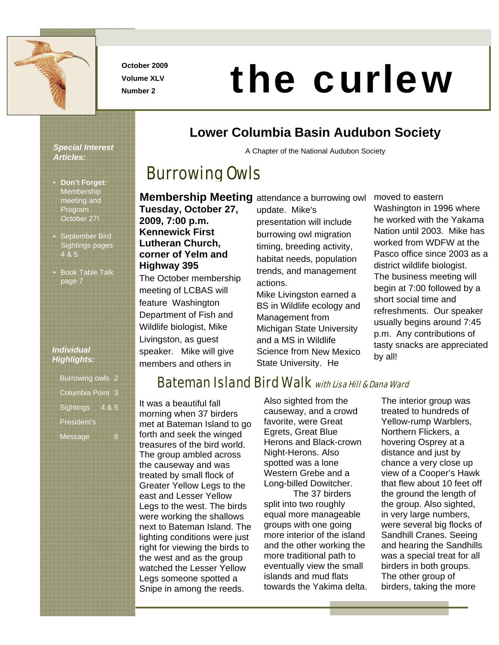

**October 2009 Volume XLV** 

# **Number 2009**<br>Number 2

#### *Special Interest Articles:*

- **Don't Forget: Membership** meeting and Program October 27!
- September Bird Sightings pages 4 & 5
- Book Table Talk page 7

### *Individual Highlights:*

| <b>Burrowing owls</b> |      |
|-----------------------|------|
| Columbia Point 3      |      |
| <b>Sightings</b>      | 48.5 |
| President's           |      |
| <b>Message</b>        |      |

# **Lower Columbia Basin Audubon Society**

A Chapter of the National Audubon Society

# Burrowing Owls

**Membership Meeting** attendance a burrowing owl

**Tuesday, October 27, 2009, 7:00 p.m. Kennewick First Lutheran Church, corner of Yelm and Highway 395** 

The October membership meeting of LCBAS will feature Washington Department of Fish and Wildlife biologist, Mike Livingston, as guest speaker. Mike will give members and others in

update. Mike's presentation will include burrowing owl migration timing, breeding activity, habitat needs, population trends, and management actions.

Mike Livingston earned a BS in Wildlife ecology and Management from Michigan State University and a MS in Wildlife Science from New Mexico State University. He

moved to eastern

Washington in 1996 where he worked with the Yakama Nation until 2003. Mike has worked from WDFW at the Pasco office since 2003 as a district wildlife biologist. The business meeting will begin at 7:00 followed by a short social time and refreshments. Our speaker usually begins around 7:45 p.m. Any contributions of tasty snacks are appreciated by all!

# Bateman Island Bird Walk with Lisa Hill & Dana Ward

It was a beautiful fall morning when 37 birders met at Bateman Island to go forth and seek the winged treasures of the bird world. The group ambled across the causeway and was treated by small flock of Greater Yellow Legs to the east and Lesser Yellow Legs to the west. The birds were working the shallows next to Bateman Island. The lighting conditions were just right for viewing the birds to the west and as the group watched the Lesser Yellow Legs someone spotted a Snipe in among the reeds.

Also sighted from the causeway, and a crowd favorite, were Great Egrets, Great Blue Herons and Black-crown Night-Herons. Also spotted was a lone Western Grebe and a Long-billed Dowitcher.

 The 37 birders split into two roughly equal more manageable groups with one going more interior of the island and the other working the more traditional path to eventually view the small islands and mud flats towards the Yakima delta. The interior group was treated to hundreds of Yellow-rump Warblers, Northern Flickers, a hovering Osprey at a distance and just by chance a very close up view of a Cooper's Hawk that flew about 10 feet off the ground the length of the group. Also sighted, in very large numbers, were several big flocks of Sandhill Cranes. Seeing and hearing the Sandhills was a special treat for all birders in both groups. The other group of birders, taking the more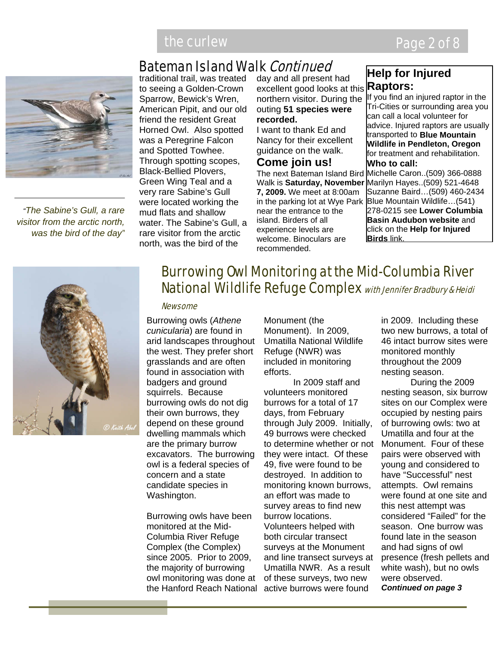# Bateman Island Walk Continued



*"The Sabine's Gull, a rare visitor from the arctic north, was the bird of the day"*

traditional trail, was treated to seeing a Golden-Crown Sparrow, Bewick's Wren, American Pipit, and our old friend the resident Great Horned Owl. Also spotted was a Peregrine Falcon and Spotted Towhee. Through spotting scopes, Black-Bellied Plovers, Green Wing Teal and a very rare Sabine's Gull were located working the mud flats and shallow water. The Sabine's Gull, a rare visitor from the arctic north, was the bird of the

day and all present had excellent good looks at this **Raptors:**  northern visitor. During the outing **51 species were recorded.** 

I want to thank Ed and Nancy for their excellent guidance on the walk.

### **Come join us!**

**7, 2009.** We meet at 8:00am in the parking lot at Wye Park near the entrance to the island. Birders of all experience levels are welcome. Binoculars are recommended.

# **Help for Injured**

The next Bateman Island Bird Michelle Caron..(509) 366-0888 Walk is **Saturday, November**  Marilyn Hayes..(509) 521-4648 If you find an injured raptor in the Tri-Cities or surrounding area you can call a local volunteer for advice. Injured raptors are usually transported to **Blue Mountain Wildlife in Pendleton, Oregon**  for treatment and rehabilitation. **Who to call:**  Suzanne Baird…(509) 460-2434 Blue Mountain Wildlife…(541) 278-0215 see **Lower Columbia** 

**Basin Audubon website** and click on the **Help for Injured Birds** link.



# Burrowing Owl Monitoring at the Mid-Columbia River National Wildlife Refuge Complex with Jennifer Bradbury & Heidi

#### **Newsome**

Burrowing owls (*Athene cunicularia*) are found in arid landscapes throughout the west. They prefer short grasslands and are often found in association with badgers and ground squirrels. Because burrowing owls do not dig their own burrows, they depend on these ground dwelling mammals which are the primary burrow excavators. The burrowing owl is a federal species of concern and a state candidate species in Washington.

Burrowing owls have been monitored at the Mid-Columbia River Refuge Complex (the Complex) since 2005. Prior to 2009, the majority of burrowing owl monitoring was done at the Hanford Reach National active burrows were found

Monument (the Monument). In 2009, Umatilla National Wildlife Refuge (NWR) was included in monitoring efforts.

In 2009 staff and volunteers monitored burrows for a total of 17 days, from February through July 2009. Initially, 49 burrows were checked to determine whether or not they were intact. Of these 49, five were found to be destroyed. In addition to monitoring known burrows, an effort was made to survey areas to find new burrow locations. Volunteers helped with both circular transect surveys at the Monument and line transect surveys at Umatilla NWR. As a result of these surveys, two new

in 2009. Including these two new burrows, a total of 46 intact burrow sites were monitored monthly throughout the 2009 nesting season.

During the 2009 nesting season, six burrow sites on our Complex were occupied by nesting pairs of burrowing owls: two at Umatilla and four at the Monument. Four of these pairs were observed with young and considered to have "Successful" nest attempts. Owl remains were found at one site and this nest attempt was considered "Failed" for the season. One burrow was found late in the season and had signs of owl presence (fresh pellets and white wash), but no owls were observed. *Continued on page 3*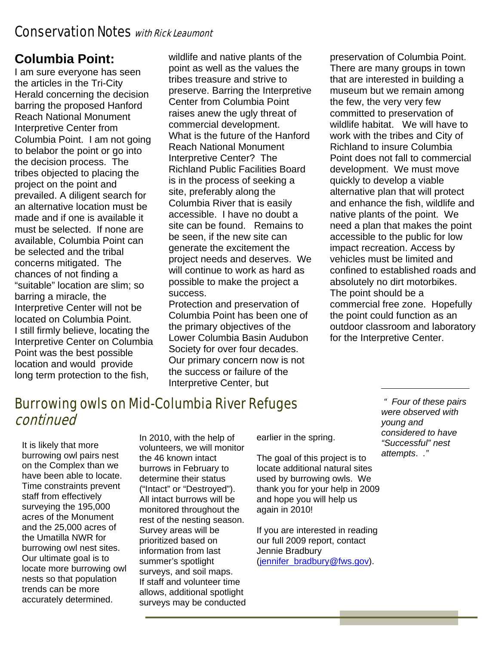### Conservation Notes with Rick Leaumont

# **Columbia Point:**

I am sure everyone has seen the articles in the Tri-City Herald concerning the decision barring the proposed Hanford Reach National Monument Interpretive Center from Columbia Point. I am not going to belabor the point or go into the decision process. The tribes objected to placing the project on the point and prevailed. A diligent search for an alternative location must be made and if one is available it must be selected. If none are available, Columbia Point can be selected and the tribal concerns mitigated. The chances of not finding a "suitable" location are slim; so barring a miracle, the Interpretive Center will not be located on Columbia Point. I still firmly believe, locating the Interpretive Center on Columbia Point was the best possible location and would provide long term protection to the fish,

wildlife and native plants of the point as well as the values the tribes treasure and strive to preserve. Barring the Interpretive Center from Columbia Point raises anew the ugly threat of commercial development. What is the future of the Hanford Reach National Monument Interpretive Center? The Richland Public Facilities Board is in the process of seeking a site, preferably along the Columbia River that is easily accessible. I have no doubt a site can be found. Remains to be seen, if the new site can generate the excitement the project needs and deserves. We will continue to work as hard as possible to make the project a success.

Protection and preservation of Columbia Point has been one of the primary objectives of the Lower Columbia Basin Audubon Society for over four decades. Our primary concern now is not the success or failure of the Interpretive Center, but

preservation of Columbia Point. There are many groups in town that are interested in building a museum but we remain among the few, the very very few committed to preservation of wildlife habitat. We will have to work with the tribes and City of Richland to insure Columbia Point does not fall to commercial development. We must move quickly to develop a viable alternative plan that will protect and enhance the fish, wildlife and native plants of the point. We need a plan that makes the point accessible to the public for low impact recreation. Access by vehicles must be limited and confined to established roads and absolutely no dirt motorbikes. The point should be a commercial free zone. Hopefully the point could function as an outdoor classroom and laboratory for the Interpretive Center.

# Burrowing owls on Mid-Columbia River Refuges continued

It is likely that more burrowing owl pairs nest on the Complex than we have been able to locate. Time constraints prevent staff from effectively surveying the 195,000 acres of the Monument and the 25,000 acres of the Umatilla NWR for burrowing owl nest sites. Our ultimate goal is to locate more burrowing owl nests so that population trends can be more accurately determined.

In 2010, with the help of volunteers, we will monitor the 46 known intact burrows in February to determine their status ("Intact" or "Destroyed"). All intact burrows will be monitored throughout the rest of the nesting season. Survey areas will be prioritized based on information from last summer's spotlight surveys, and soil maps. If staff and volunteer time allows, additional spotlight surveys may be conducted

earlier in the spring.

The goal of this project is to locate additional natural sites used by burrowing owls. We thank you for your help in 2009 and hope you will help us again in 2010!

If you are interested in reading our full 2009 report, contact Jennie Bradbury (jennifer\_bradbury@fws.gov).

*" Four of these pairs were observed with young and considered to have "Successful" nest attempts*. *."*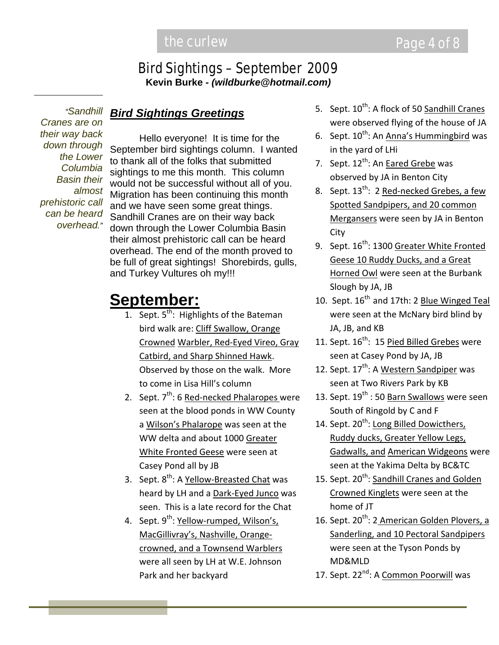# Bird Sightings – September 2009

**Kevin Burke** *- (wildburke@hotmail.com)*

*"Sandhill Cranes are on their way back down through the Lower Columbia Basin their almost prehistoric call can be heard overhead."*

### *Bird Sightings Greetings*

 Hello everyone! It is time for the September bird sightings column. I wanted to thank all of the folks that submitted sightings to me this month. This column would not be successful without all of you. Migration has been continuing this month and we have seen some great things. Sandhill Cranes are on their way back down through the Lower Columbia Basin their almost prehistoric call can be heard overhead. The end of the month proved to be full of great sightings! Shorebirds, gulls, and Turkey Vultures oh my!!!

# **September:**

- 1. Sept.  $5^{th}$ : Highlights of the Bateman bird walk are: Cliff Swallow, Orange Crowned Warbler, Red‐Eyed Vireo, Gray Catbird, and Sharp Shinned Hawk. Observed by those on the walk. More to come in Lisa Hill's column
- 2. Sept. 7<sup>th</sup>: 6 Red-necked Phalaropes were seen at the blood ponds in WW County a Wilson's Phalarope was seen at the WW delta and about 1000 Greater White Fronted Geese were seen at Casey Pond all by JB
- 3. Sept. 8<sup>th</sup>: A <u>Yellow-Breasted Chat</u> was heard by LH and a Dark‐Eyed Junco was seen. This is a late record for the Chat
- 4. Sept. 9<sup>th</sup>: <u>Yellow-rumped, Wilson's,</u> MacGillivray's, Nashville, Orange‐ crowned, and a Townsend Warblers were all seen by LH at W.E. Johnson Park and her backyard
- 5. Sept. 10<sup>th</sup>: A flock of 50 Sandhill Cranes were observed flying of the house of JA
- 6. Sept. 10<sup>th</sup>: An <u>Anna's Hummingbird</u> was in the yard of LHi
- 7. Sept. 12<sup>th</sup>: An **Eared Grebe** was observed by JA in Benton City
- 8. Sept. 13<sup>th</sup>: 2 Red-necked Grebes, a few Spotted Sandpipers, and 20 common Mergansers were seen by JA in Benton City
- 9. Sept. 16<sup>th</sup>: 1300 <u>Greater White Fronted</u> Geese 10 Ruddy Ducks, and a Great Horned Owl were seen at the Burbank Slough by JA, JB
- 10. Sept. 16<sup>th</sup> and 17th: 2 Blue Winged Teal were seen at the McNary bird blind by JA, JB, and KB
- 11. Sept. 16<sup>th</sup>: 15 <u>Pied Billed Grebes</u> were seen at Casey Pond by JA, JB
- 12. Sept. 17<sup>th</sup>: A <u>Western Sandpiper</u> was seen at Two Rivers Park by KB
- 13. Sept. 19<sup>th</sup> : 50 <u>Barn Swallows</u> were seen South of Ringold by C and F
- 14. Sept. 20<sup>th</sup>: Long Billed Dowicthers, Ruddy ducks, Greater Yellow Legs, Gadwalls, and American Widgeons were seen at the Yakima Delta by BC&TC
- 15. Sept. 20<sup>th</sup>: Sandhill Cranes and Golden Crowned Kinglets were seen at the home of JT
- 16. Sept. 20<sup>th</sup>: 2 American Golden Plovers, a Sanderling, and 10 Pectoral Sandpipers were seen at the Tyson Ponds by MD&MLD
- 17. Sept. 22<sup>nd</sup>: A <u>Common Poorwill</u> was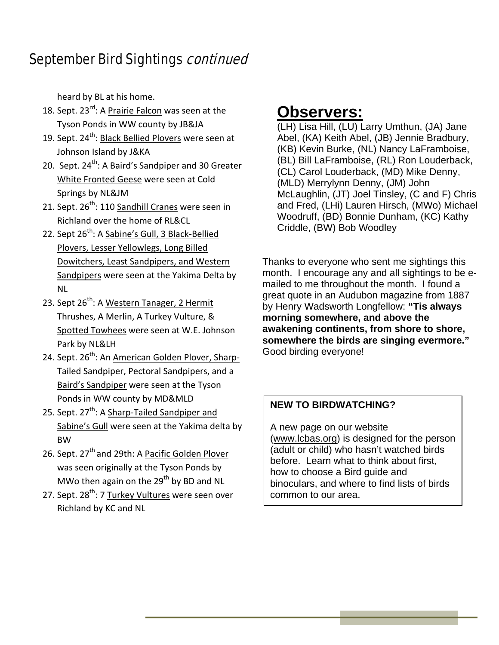# September Bird Sightings *continued*

heard by BL at his home.

- 18. Sept. 23<sup>rd</sup>: A <u>Prairie Falcon</u> was seen at the Tyson Ponds in WW county by JB&JA
- 19. Sept. 24<sup>th</sup>: <u>Black Bellied Plovers</u> were seen at Johnson Island by J&KA
- 20. Sept. 24<sup>th</sup>: A <u>Baird's Sandpiper and 30 Greater</u> White Fronted Geese were seen at Cold Springs by NL&JM
- 21. Sept. 26<sup>th</sup>: 110 <u>Sandhill Cranes</u> were seen in Richland over the home of RL&CL
- 22. Sept 26<sup>th</sup>: A <u>Sabine's Gull, 3 Black-Bellied</u> Plovers, Lesser Yellowlegs, Long Billed Dowitchers, Least Sandpipers, and Western Sandpipers were seen at the Yakima Delta by NL
- 23. Sept 26<sup>th</sup>: A <u>Western Tanager, 2 Hermit</u> Thrushes, A Merlin, A Turkey Vulture, & Spotted Towhees were seen at W.E. Johnson Park by NL&LH
- 24. Sept. 26<sup>th</sup>: An <u>American Golden Plover, Sharp-</u> Tailed Sandpiper, Pectoral Sandpipers, and a Baird's Sandpiper were seen at the Tyson Ponds in WW county by MD&MLD
- 25. Sept. 27<sup>th</sup>: A <u>Sharp-Tailed Sandpiper and</u> Sabine's Gull were seen at the Yakima delta by BW
- 26. Sept. 27<sup>th</sup> and 29th: A Pacific Golden Plover was seen originally at the Tyson Ponds by MWo then again on the  $29<sup>th</sup>$  by BD and NL
- 27. Sept. 28<sup>th</sup>: 7 <u>Turkey Vultures</u> were seen over Richland by KC and NL

# **Observers:**

(LH) Lisa Hill, (LU) Larry Umthun, (JA) Jane Abel, (KA) Keith Abel, (JB) Jennie Bradbury, (KB) Kevin Burke, (NL) Nancy LaFramboise, (BL) Bill LaFramboise, (RL) Ron Louderback, (CL) Carol Louderback, (MD) Mike Denny, (MLD) Merrylynn Denny, (JM) John McLaughlin, (JT) Joel Tinsley, (C and F) Chris and Fred, (LHi) Lauren Hirsch, (MWo) Michael Woodruff, (BD) Bonnie Dunham, (KC) Kathy Criddle, (BW) Bob Woodley

Thanks to everyone who sent me sightings this month. I encourage any and all sightings to be emailed to me throughout the month. I found a great quote in an Audubon magazine from 1887 by Henry Wadsworth Longfellow: **"Tis always morning somewhere, and above the awakening continents, from shore to shore, somewhere the birds are singing evermore."**  Good birding everyone!

### **NEW TO BIRDWATCHING?**

A new page on our website (www.lcbas.org) is designed for the person (adult or child) who hasn't watched birds before. Learn what to think about first, how to choose a Bird guide and binoculars, and where to find lists of birds common to our area.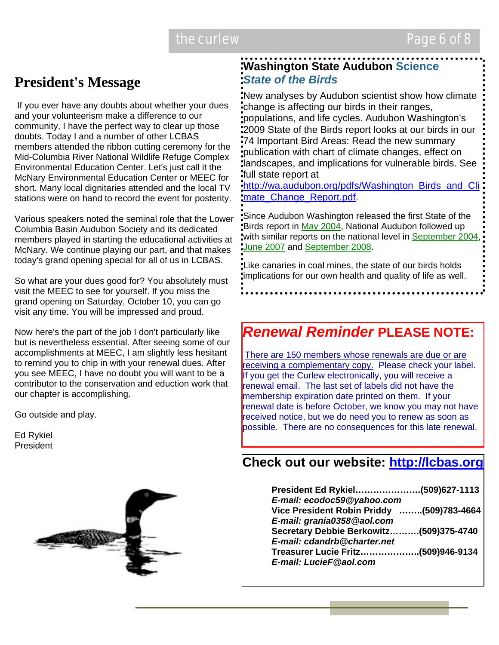# **President's Message**

 If you ever have any doubts about whether your dues and your volunteerism make a difference to our community, I have the perfect way to clear up those doubts. Today I and a number of other LCBAS members attended the ribbon cutting ceremony for the Mid-Columbia River National Wildlife Refuge Complex Environmental Education Center. Let's just call it the McNary Environmental Education Center or MEEC for short. Many local dignitaries attended and the local TV stations were on hand to record the event for posterity.

Various speakers noted the seminal role that the Lower Columbia Basin Audubon Society and its dedicated members played in starting the educational activities at McNary. We continue playing our part, and that makes today's grand opening special for all of us in LCBAS.

So what are your dues good for? You absolutely must visit the MEEC to see for yourself. If you miss the grand opening on Saturday, October 10, you can go visit any time. You will be impressed and proud.

Now here's the part of the job I don't particularly like but is nevertheless essential. After seeing some of our accomplishments at MEEC, I am slightly less hesitant to remind you to chip in with your renewal dues. After you see MEEC, I have no doubt you will want to be a contributor to the conservation and eduction work that our chapter is accomplishing.

Go outside and play.

Ed Rykiel President



### **Washington State Audubon Science** *State of the Birds*

New analyses by Audubon scientist show how climate change is affecting our birds in their ranges, populations, and life cycles. Audubon Washington's 2009 State of the Birds report looks at our birds in our 74 Important Bird Areas: Read the new summary publication with chart of climate changes, effect on landscapes, and implications for vulnerable birds. See full state report at

http://wa.audubon.org/pdfs/Washington\_Birds\_and\_Cli mate Change Report.pdf.

Since Audubon Washington released the first State of the Birds report in May 2004, National Audubon followed up with similar reports on the national level in September 2004, **June 2007 and September 2008.** 

Like canaries in coal mines, the state of our birds holds implications for our own health and quality of life as well.

# *Renewal Reminder* **PLEASE NOTE:**

There are 150 members whose renewals are due or are receiving a complementary copy. Please check your label. If you get the Curlew electronically, you will receive a renewal email. The last set of labels did not have the membership expiration date printed on them. If your renewal date is before October, we know you may not have received notice, but we do need you to renew as soon as possible. There are no consequences for this late renewal.

### **Check out our website: http://lcbas.org**

| President Ed Rykiel(509)627-1113<br>E-mail: ecodoc59@yahoo.com |  |
|----------------------------------------------------------------|--|
| Vice President Robin Priddy (509)783-4664                      |  |
|                                                                |  |
| E-mail: grania0358@aol.com                                     |  |
| Secretary Debbie Berkowitz(509)375-4740                        |  |
| E-mail: cdandrb@charter.net                                    |  |
| Treasurer Lucie Fritz(509)946-9134                             |  |
| E-mail: LucieF@aol.com                                         |  |
|                                                                |  |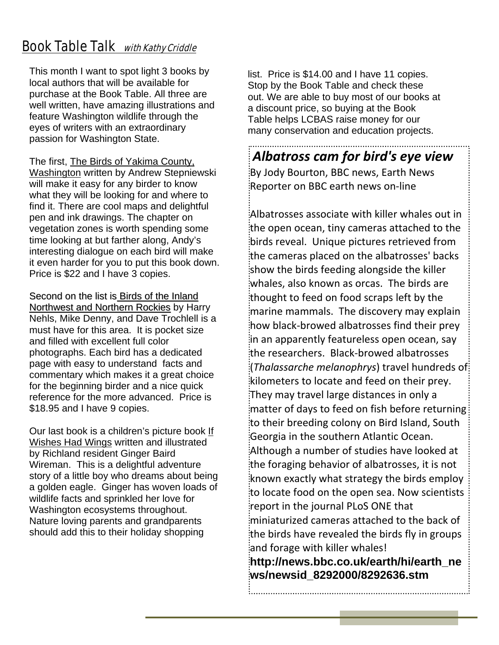# **Book Table Talk** with Kathy Criddle

This month I want to spot light 3 books by local authors that will be available for purchase at the Book Table. All three are well written, have amazing illustrations and feature Washington wildlife through the eyes of writers with an extraordinary passion for Washington State.

The first, The Birds of Yakima County, Washington written by Andrew Stepniewski will make it easy for any birder to know what they will be looking for and where to find it. There are cool maps and delightful pen and ink drawings. The chapter on vegetation zones is worth spending some time looking at but farther along, Andy's interesting dialogue on each bird will make it even harder for you to put this book down. Price is \$22 and I have 3 copies.

Second on the list is Birds of the Inland Northwest and Northern Rockies by Harry Nehls, Mike Denny, and Dave Trochlell is a must have for this area. It is pocket size and filled with excellent full color photographs. Each bird has a dedicated page with easy to understand facts and commentary which makes it a great choice for the beginning birder and a nice quick reference for the more advanced. Price is \$18.95 and I have 9 copies.

Our last book is a children's picture book If Wishes Had Wings written and illustrated by Richland resident Ginger Baird Wireman. This is a delightful adventure story of a little boy who dreams about being a golden eagle. Ginger has woven loads of wildlife facts and sprinkled her love for Washington ecosystems throughout. Nature loving parents and grandparents should add this to their holiday shopping

list. Price is \$14.00 and I have 11 copies. Stop by the Book Table and check these out. We are able to buy most of our books at a discount price, so buying at the Book Table helps LCBAS raise money for our many conservation and education projects.

### *Albatross cam for bird's eye view*

.<br>By Jody Bourton, BBC news, Earth News Reporter on BBC earth news on‐line

Albatrosses associate with killer whales out in the open ocean, tiny cameras attached to the birds reveal. Unique pictures retrieved from the cameras placed on the albatrosses' backs show the birds feeding alongside the killer whales, also known as orcas. The birds are thought to feed on food scraps left by the marine mammals. The discovery may explain how black‐browed albatrosses find their prey in an apparently featureless open ocean, say the researchers. Black‐browed albatrosses (*Thalassarche melanophrys*) travel hundreds of kilometers to locate and feed on their prey. They may travel large distances in only a matter of days to feed on fish before returning to their breeding colony on Bird Island, South Georgia in the southern Atlantic Ocean. Although a number of studies have looked at the foraging behavior of albatrosses, it is not known exactly what strategy the birds employ to locate food on the open sea. Now scientists report in the journal PLoS ONE that miniaturized cameras attached to the back of the birds have revealed the birds fly in groups and forage with killer whales!

**http://news.bbc.co.uk/earth/hi/earth\_ne ws/newsid\_8292000/8292636.stm**